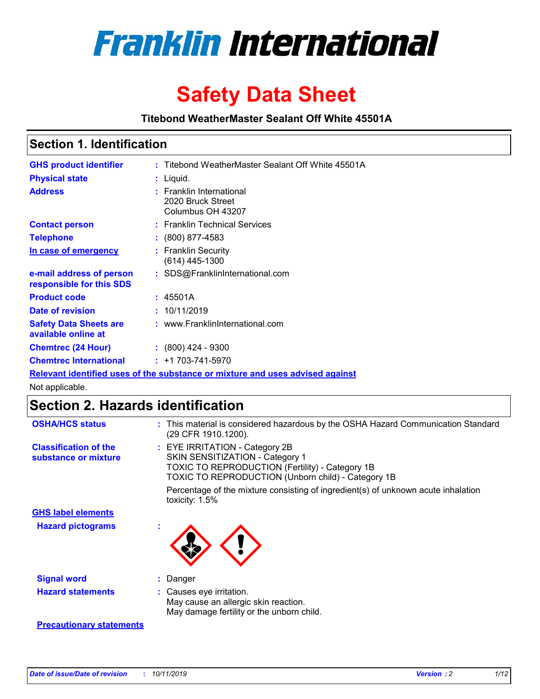

# **Safety Data Sheet**

**Titebond WeatherMaster Sealant Off White 45501A**

### **Section 1. Identification**

| <b>GHS product identifier</b>                                                 |  | : Titebond WeatherMaster Sealant Off White 45501A                  |  |  |  |
|-------------------------------------------------------------------------------|--|--------------------------------------------------------------------|--|--|--|
| <b>Physical state</b>                                                         |  | : Liquid.                                                          |  |  |  |
| <b>Address</b>                                                                |  | : Franklin International<br>2020 Bruck Street<br>Columbus OH 43207 |  |  |  |
| <b>Contact person</b>                                                         |  | : Franklin Technical Services                                      |  |  |  |
| <b>Telephone</b>                                                              |  | $: (800) 877 - 4583$                                               |  |  |  |
| In case of emergency                                                          |  | : Franklin Security<br>(614) 445-1300                              |  |  |  |
| e-mail address of person<br>responsible for this SDS                          |  | : SDS@FranklinInternational.com                                    |  |  |  |
| <b>Product code</b>                                                           |  | : 45501A                                                           |  |  |  |
| Date of revision                                                              |  | : 10/11/2019                                                       |  |  |  |
| <b>Safety Data Sheets are</b><br>available online at                          |  | : www.FranklinInternational.com                                    |  |  |  |
| <b>Chemtrec (24 Hour)</b>                                                     |  | $\div$ (800) 424 - 9300                                            |  |  |  |
| <b>Chemtrec International</b>                                                 |  | $: +1703 - 741 - 5970$                                             |  |  |  |
| Relevant identified uses of the substance or mixture and uses advised against |  |                                                                    |  |  |  |

Not applicable.

# **Section 2. Hazards identification**

| <b>OSHA/HCS status</b>                               | : This material is considered hazardous by the OSHA Hazard Communication Standard<br>(29 CFR 1910.1200).                                                                                 |
|------------------------------------------------------|------------------------------------------------------------------------------------------------------------------------------------------------------------------------------------------|
| <b>Classification of the</b><br>substance or mixture | : EYE IRRITATION - Category 2B<br>SKIN SENSITIZATION - Category 1<br><b>TOXIC TO REPRODUCTION (Fertility) - Category 1B</b><br><b>TOXIC TO REPRODUCTION (Unborn child) - Category 1B</b> |
|                                                      | Percentage of the mixture consisting of ingredient(s) of unknown acute inhalation<br>toxicity: $1.5\%$                                                                                   |
| <b>GHS label elements</b>                            |                                                                                                                                                                                          |
| <b>Hazard pictograms</b>                             |                                                                                                                                                                                          |
| <b>Signal word</b>                                   | : Danger                                                                                                                                                                                 |
| <b>Hazard statements</b>                             | : Causes eye irritation.<br>May cause an allergic skin reaction.<br>May damage fertility or the unborn child.                                                                            |
| <b>Precautionary statements</b>                      |                                                                                                                                                                                          |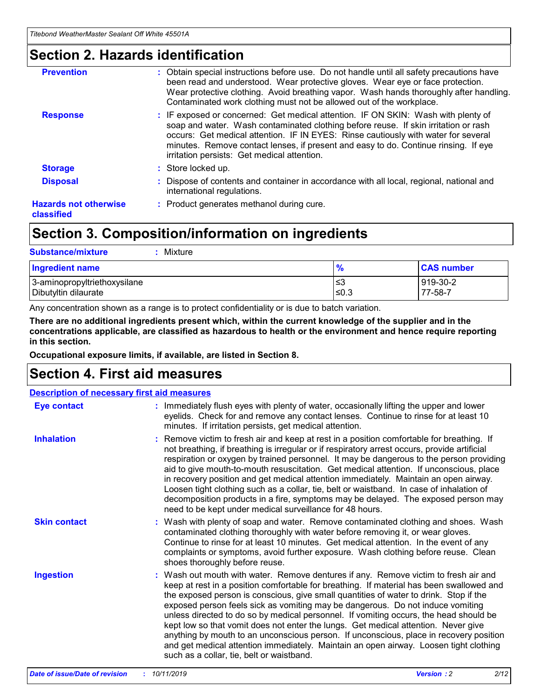### **Section 2. Hazards identification**

| <b>Prevention</b>                          | : Obtain special instructions before use. Do not handle until all safety precautions have<br>been read and understood. Wear protective gloves. Wear eye or face protection.<br>Wear protective clothing. Avoid breathing vapor. Wash hands thoroughly after handling.<br>Contaminated work clothing must not be allowed out of the workplace.                                                        |
|--------------------------------------------|------------------------------------------------------------------------------------------------------------------------------------------------------------------------------------------------------------------------------------------------------------------------------------------------------------------------------------------------------------------------------------------------------|
| <b>Response</b>                            | : IF exposed or concerned: Get medical attention. IF ON SKIN: Wash with plenty of<br>soap and water. Wash contaminated clothing before reuse. If skin irritation or rash<br>occurs: Get medical attention. IF IN EYES: Rinse cautiously with water for several<br>minutes. Remove contact lenses, if present and easy to do. Continue rinsing. If eye<br>irritation persists: Get medical attention. |
| <b>Storage</b>                             | : Store locked up.                                                                                                                                                                                                                                                                                                                                                                                   |
| <b>Disposal</b>                            | : Dispose of contents and container in accordance with all local, regional, national and<br>international regulations.                                                                                                                                                                                                                                                                               |
| <b>Hazards not otherwise</b><br>classified | : Product generates methanol during cure.                                                                                                                                                                                                                                                                                                                                                            |
|                                            |                                                                                                                                                                                                                                                                                                                                                                                                      |

## **Section 3. Composition/information on ingredients**

| <b>Substance/mixture</b><br>: Mixture                |               |                     |
|------------------------------------------------------|---------------|---------------------|
| Ingredient name                                      | $\frac{9}{6}$ | <b>CAS number</b>   |
| 3-aminopropyltriethoxysilane<br>Dibutyltin dilaurate | צ≥<br>≤0.3    | 919-30-2<br>77-58-7 |

Any concentration shown as a range is to protect confidentiality or is due to batch variation.

**There are no additional ingredients present which, within the current knowledge of the supplier and in the concentrations applicable, are classified as hazardous to health or the environment and hence require reporting in this section.**

**Occupational exposure limits, if available, are listed in Section 8.**

### **Section 4. First aid measures**

| <b>Description of necessary first aid measures</b> |                                                                                                                                                                                                                                                                                                                                                                                                                                                                                                                                                                                                                                                                                                                                                                           |  |  |  |
|----------------------------------------------------|---------------------------------------------------------------------------------------------------------------------------------------------------------------------------------------------------------------------------------------------------------------------------------------------------------------------------------------------------------------------------------------------------------------------------------------------------------------------------------------------------------------------------------------------------------------------------------------------------------------------------------------------------------------------------------------------------------------------------------------------------------------------------|--|--|--|
| <b>Eye contact</b>                                 | : Immediately flush eyes with plenty of water, occasionally lifting the upper and lower<br>eyelids. Check for and remove any contact lenses. Continue to rinse for at least 10<br>minutes. If irritation persists, get medical attention.                                                                                                                                                                                                                                                                                                                                                                                                                                                                                                                                 |  |  |  |
| <b>Inhalation</b>                                  | : Remove victim to fresh air and keep at rest in a position comfortable for breathing. If<br>not breathing, if breathing is irregular or if respiratory arrest occurs, provide artificial<br>respiration or oxygen by trained personnel. It may be dangerous to the person providing<br>aid to give mouth-to-mouth resuscitation. Get medical attention. If unconscious, place<br>in recovery position and get medical attention immediately. Maintain an open airway.<br>Loosen tight clothing such as a collar, tie, belt or waistband. In case of inhalation of<br>decomposition products in a fire, symptoms may be delayed. The exposed person may<br>need to be kept under medical surveillance for 48 hours.                                                       |  |  |  |
| <b>Skin contact</b>                                | : Wash with plenty of soap and water. Remove contaminated clothing and shoes. Wash<br>contaminated clothing thoroughly with water before removing it, or wear gloves.<br>Continue to rinse for at least 10 minutes. Get medical attention. In the event of any<br>complaints or symptoms, avoid further exposure. Wash clothing before reuse. Clean<br>shoes thoroughly before reuse.                                                                                                                                                                                                                                                                                                                                                                                     |  |  |  |
| <b>Ingestion</b>                                   | : Wash out mouth with water. Remove dentures if any. Remove victim to fresh air and<br>keep at rest in a position comfortable for breathing. If material has been swallowed and<br>the exposed person is conscious, give small quantities of water to drink. Stop if the<br>exposed person feels sick as vomiting may be dangerous. Do not induce vomiting<br>unless directed to do so by medical personnel. If vomiting occurs, the head should be<br>kept low so that vomit does not enter the lungs. Get medical attention. Never give<br>anything by mouth to an unconscious person. If unconscious, place in recovery position<br>and get medical attention immediately. Maintain an open airway. Loosen tight clothing<br>such as a collar, tie, belt or waistband. |  |  |  |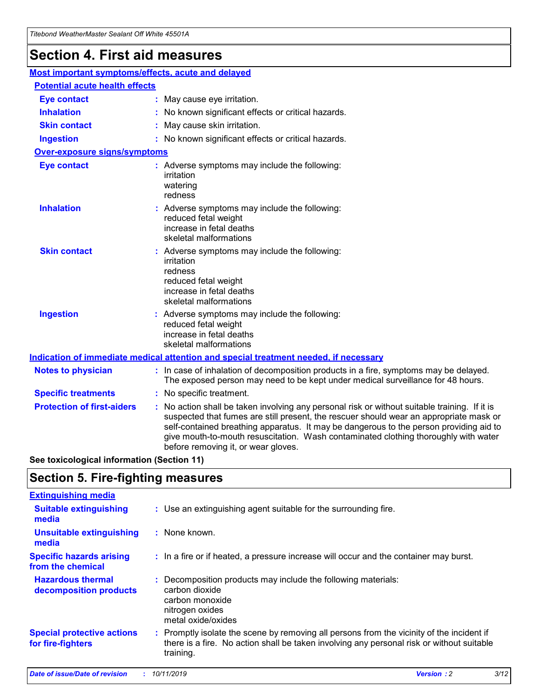# **Section 4. First aid measures**

| Most important symptoms/effects, acute and delayed |                                       |                                                                                                                                                                                                                                                                                                                                                                                                                 |  |  |  |
|----------------------------------------------------|---------------------------------------|-----------------------------------------------------------------------------------------------------------------------------------------------------------------------------------------------------------------------------------------------------------------------------------------------------------------------------------------------------------------------------------------------------------------|--|--|--|
|                                                    | <b>Potential acute health effects</b> |                                                                                                                                                                                                                                                                                                                                                                                                                 |  |  |  |
| <b>Eye contact</b>                                 |                                       | : May cause eye irritation.                                                                                                                                                                                                                                                                                                                                                                                     |  |  |  |
| <b>Inhalation</b>                                  |                                       | : No known significant effects or critical hazards.                                                                                                                                                                                                                                                                                                                                                             |  |  |  |
| <b>Skin contact</b>                                |                                       | : May cause skin irritation.                                                                                                                                                                                                                                                                                                                                                                                    |  |  |  |
| <b>Ingestion</b>                                   |                                       | : No known significant effects or critical hazards.                                                                                                                                                                                                                                                                                                                                                             |  |  |  |
| <b>Over-exposure signs/symptoms</b>                |                                       |                                                                                                                                                                                                                                                                                                                                                                                                                 |  |  |  |
| <b>Eye contact</b>                                 |                                       | : Adverse symptoms may include the following:<br>irritation<br>watering<br>redness                                                                                                                                                                                                                                                                                                                              |  |  |  |
| <b>Inhalation</b>                                  |                                       | : Adverse symptoms may include the following:<br>reduced fetal weight<br>increase in fetal deaths<br>skeletal malformations                                                                                                                                                                                                                                                                                     |  |  |  |
| <b>Skin contact</b>                                |                                       | : Adverse symptoms may include the following:<br>irritation<br>redness<br>reduced fetal weight<br>increase in fetal deaths<br>skeletal malformations                                                                                                                                                                                                                                                            |  |  |  |
| <b>Ingestion</b>                                   |                                       | : Adverse symptoms may include the following:<br>reduced fetal weight<br>increase in fetal deaths<br>skeletal malformations                                                                                                                                                                                                                                                                                     |  |  |  |
|                                                    |                                       | <b>Indication of immediate medical attention and special treatment needed, if necessary</b>                                                                                                                                                                                                                                                                                                                     |  |  |  |
| <b>Notes to physician</b>                          |                                       | : In case of inhalation of decomposition products in a fire, symptoms may be delayed.<br>The exposed person may need to be kept under medical surveillance for 48 hours.                                                                                                                                                                                                                                        |  |  |  |
| <b>Specific treatments</b>                         |                                       | : No specific treatment.                                                                                                                                                                                                                                                                                                                                                                                        |  |  |  |
| <b>Protection of first-aiders</b>                  |                                       | : No action shall be taken involving any personal risk or without suitable training. If it is<br>suspected that fumes are still present, the rescuer should wear an appropriate mask or<br>self-contained breathing apparatus. It may be dangerous to the person providing aid to<br>give mouth-to-mouth resuscitation. Wash contaminated clothing thoroughly with water<br>before removing it, or wear gloves. |  |  |  |

**See toxicological information (Section 11)**

### **Section 5. Fire-fighting measures**

| <b>Extinguishing media</b>                             |                                                                                                                                                                                                     |
|--------------------------------------------------------|-----------------------------------------------------------------------------------------------------------------------------------------------------------------------------------------------------|
| <b>Suitable extinguishing</b><br>media                 | : Use an extinguishing agent suitable for the surrounding fire.                                                                                                                                     |
| <b>Unsuitable extinguishing</b><br>media               | $:$ None known.                                                                                                                                                                                     |
| <b>Specific hazards arising</b><br>from the chemical   | : In a fire or if heated, a pressure increase will occur and the container may burst.                                                                                                               |
| <b>Hazardous thermal</b><br>decomposition products     | : Decomposition products may include the following materials:<br>carbon dioxide<br>carbon monoxide<br>nitrogen oxides<br>metal oxide/oxides                                                         |
| <b>Special protective actions</b><br>for fire-fighters | : Promptly isolate the scene by removing all persons from the vicinity of the incident if<br>there is a fire. No action shall be taken involving any personal risk or without suitable<br>training. |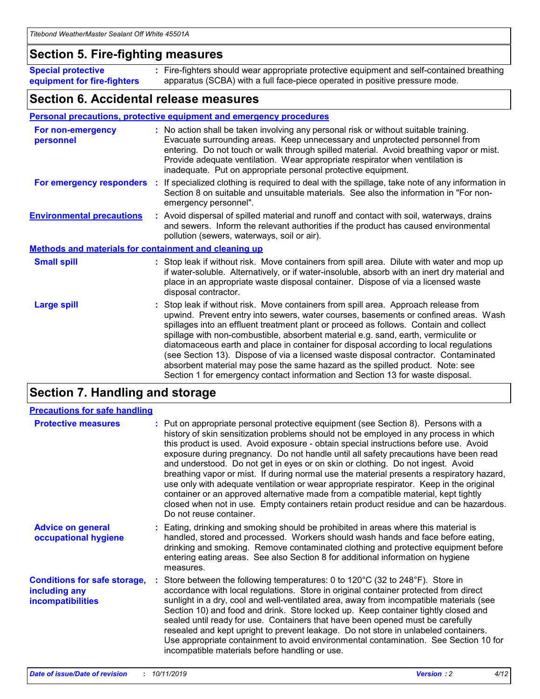### **Section 5. Fire-fighting measures**

**Special protective equipment for fire-fighters** Fire-fighters should wear appropriate protective equipment and self-contained breathing **:** apparatus (SCBA) with a full face-piece operated in positive pressure mode.

### **Section 6. Accidental release measures**

#### **Personal precautions, protective equipment and emergency procedures**

| For non-emergency<br>personnel                               | : No action shall be taken involving any personal risk or without suitable training.<br>Evacuate surrounding areas. Keep unnecessary and unprotected personnel from<br>entering. Do not touch or walk through spilled material. Avoid breathing vapor or mist.<br>Provide adequate ventilation. Wear appropriate respirator when ventilation is<br>inadequate. Put on appropriate personal protective equipment.                                                                                                                                                                                                                                                                                             |
|--------------------------------------------------------------|--------------------------------------------------------------------------------------------------------------------------------------------------------------------------------------------------------------------------------------------------------------------------------------------------------------------------------------------------------------------------------------------------------------------------------------------------------------------------------------------------------------------------------------------------------------------------------------------------------------------------------------------------------------------------------------------------------------|
|                                                              | For emergency responders : If specialized clothing is required to deal with the spillage, take note of any information in<br>Section 8 on suitable and unsuitable materials. See also the information in "For non-<br>emergency personnel".                                                                                                                                                                                                                                                                                                                                                                                                                                                                  |
| <b>Environmental precautions</b>                             | : Avoid dispersal of spilled material and runoff and contact with soil, waterways, drains<br>and sewers. Inform the relevant authorities if the product has caused environmental<br>pollution (sewers, waterways, soil or air).                                                                                                                                                                                                                                                                                                                                                                                                                                                                              |
| <b>Methods and materials for containment and cleaning up</b> |                                                                                                                                                                                                                                                                                                                                                                                                                                                                                                                                                                                                                                                                                                              |
| <b>Small spill</b>                                           | : Stop leak if without risk. Move containers from spill area. Dilute with water and mop up<br>if water-soluble. Alternatively, or if water-insoluble, absorb with an inert dry material and<br>place in an appropriate waste disposal container. Dispose of via a licensed waste<br>disposal contractor.                                                                                                                                                                                                                                                                                                                                                                                                     |
| <b>Large spill</b>                                           | : Stop leak if without risk. Move containers from spill area. Approach release from<br>upwind. Prevent entry into sewers, water courses, basements or confined areas. Wash<br>spillages into an effluent treatment plant or proceed as follows. Contain and collect<br>spillage with non-combustible, absorbent material e.g. sand, earth, vermiculite or<br>diatomaceous earth and place in container for disposal according to local regulations<br>(see Section 13). Dispose of via a licensed waste disposal contractor. Contaminated<br>absorbent material may pose the same hazard as the spilled product. Note: see<br>Section 1 for emergency contact information and Section 13 for waste disposal. |

### **Section 7. Handling and storage**

| <b>Precautions for safe handling</b>                                             |                                                                                                                                                                                                                                                                                                                                                                                                                                                                                                                                                                                                                                                                                                                                                                                                                                                  |
|----------------------------------------------------------------------------------|--------------------------------------------------------------------------------------------------------------------------------------------------------------------------------------------------------------------------------------------------------------------------------------------------------------------------------------------------------------------------------------------------------------------------------------------------------------------------------------------------------------------------------------------------------------------------------------------------------------------------------------------------------------------------------------------------------------------------------------------------------------------------------------------------------------------------------------------------|
| <b>Protective measures</b>                                                       | : Put on appropriate personal protective equipment (see Section 8). Persons with a<br>history of skin sensitization problems should not be employed in any process in which<br>this product is used. Avoid exposure - obtain special instructions before use. Avoid<br>exposure during pregnancy. Do not handle until all safety precautions have been read<br>and understood. Do not get in eyes or on skin or clothing. Do not ingest. Avoid<br>breathing vapor or mist. If during normal use the material presents a respiratory hazard,<br>use only with adequate ventilation or wear appropriate respirator. Keep in the original<br>container or an approved alternative made from a compatible material, kept tightly<br>closed when not in use. Empty containers retain product residue and can be hazardous.<br>Do not reuse container. |
| <b>Advice on general</b><br>occupational hygiene                                 | : Eating, drinking and smoking should be prohibited in areas where this material is<br>handled, stored and processed. Workers should wash hands and face before eating,<br>drinking and smoking. Remove contaminated clothing and protective equipment before<br>entering eating areas. See also Section 8 for additional information on hygiene<br>measures.                                                                                                                                                                                                                                                                                                                                                                                                                                                                                    |
| <b>Conditions for safe storage,</b><br>including any<br><b>incompatibilities</b> | : Store between the following temperatures: 0 to 120 $\degree$ C (32 to 248 $\degree$ F). Store in<br>accordance with local regulations. Store in original container protected from direct<br>sunlight in a dry, cool and well-ventilated area, away from incompatible materials (see<br>Section 10) and food and drink. Store locked up. Keep container tightly closed and<br>sealed until ready for use. Containers that have been opened must be carefully<br>resealed and kept upright to prevent leakage. Do not store in unlabeled containers.<br>Use appropriate containment to avoid environmental contamination. See Section 10 for<br>incompatible materials before handling or use.                                                                                                                                                   |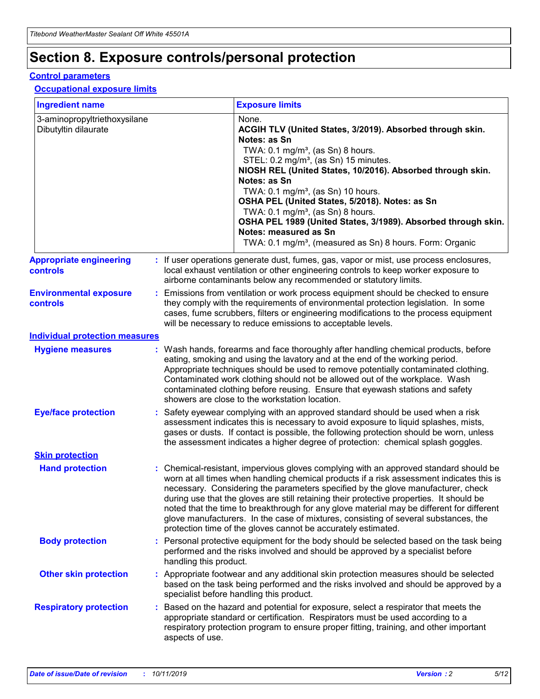# **Section 8. Exposure controls/personal protection**

#### **Control parameters**

#### **Occupational exposure limits**

| <b>Ingredient name</b>                               |    |                        | <b>Exposure limits</b>                                                                                                                                                                                                                                                                                                                                                                                                                                                                                                                                                                                                 |
|------------------------------------------------------|----|------------------------|------------------------------------------------------------------------------------------------------------------------------------------------------------------------------------------------------------------------------------------------------------------------------------------------------------------------------------------------------------------------------------------------------------------------------------------------------------------------------------------------------------------------------------------------------------------------------------------------------------------------|
| 3-aminopropyltriethoxysilane<br>Dibutyltin dilaurate |    |                        | None.<br>ACGIH TLV (United States, 3/2019). Absorbed through skin.<br>Notes: as Sn<br>TWA: $0.1 \text{ mg/m}^3$ , (as Sn) 8 hours.<br>STEL: 0.2 mg/m <sup>3</sup> , (as Sn) 15 minutes.<br>NIOSH REL (United States, 10/2016). Absorbed through skin.<br>Notes: as Sn<br>TWA: 0.1 mg/m <sup>3</sup> , (as Sn) 10 hours.<br>OSHA PEL (United States, 5/2018). Notes: as Sn<br>TWA: $0.1 \text{ mg/m}^3$ , (as Sn) 8 hours.<br>OSHA PEL 1989 (United States, 3/1989). Absorbed through skin.<br>Notes: measured as Sn<br>TWA: 0.1 mg/m <sup>3</sup> , (measured as Sn) 8 hours. Form: Organic                            |
| <b>Appropriate engineering</b><br>controls           |    |                        | : If user operations generate dust, fumes, gas, vapor or mist, use process enclosures,<br>local exhaust ventilation or other engineering controls to keep worker exposure to<br>airborne contaminants below any recommended or statutory limits.                                                                                                                                                                                                                                                                                                                                                                       |
| <b>Environmental exposure</b><br>controls            |    |                        | Emissions from ventilation or work process equipment should be checked to ensure<br>they comply with the requirements of environmental protection legislation. In some<br>cases, fume scrubbers, filters or engineering modifications to the process equipment<br>will be necessary to reduce emissions to acceptable levels.                                                                                                                                                                                                                                                                                          |
| <b>Individual protection measures</b>                |    |                        |                                                                                                                                                                                                                                                                                                                                                                                                                                                                                                                                                                                                                        |
| <b>Hygiene measures</b>                              |    |                        | : Wash hands, forearms and face thoroughly after handling chemical products, before<br>eating, smoking and using the lavatory and at the end of the working period.<br>Appropriate techniques should be used to remove potentially contaminated clothing.<br>Contaminated work clothing should not be allowed out of the workplace. Wash<br>contaminated clothing before reusing. Ensure that eyewash stations and safety<br>showers are close to the workstation location.                                                                                                                                            |
| <b>Eye/face protection</b>                           |    |                        | : Safety eyewear complying with an approved standard should be used when a risk<br>assessment indicates this is necessary to avoid exposure to liquid splashes, mists,<br>gases or dusts. If contact is possible, the following protection should be worn, unless<br>the assessment indicates a higher degree of protection: chemical splash goggles.                                                                                                                                                                                                                                                                  |
| <b>Skin protection</b>                               |    |                        |                                                                                                                                                                                                                                                                                                                                                                                                                                                                                                                                                                                                                        |
| <b>Hand protection</b>                               |    |                        | : Chemical-resistant, impervious gloves complying with an approved standard should be<br>worn at all times when handling chemical products if a risk assessment indicates this is<br>necessary. Considering the parameters specified by the glove manufacturer, check<br>during use that the gloves are still retaining their protective properties. It should be<br>noted that the time to breakthrough for any glove material may be different for different<br>glove manufacturers. In the case of mixtures, consisting of several substances, the<br>protection time of the gloves cannot be accurately estimated. |
| <b>Body protection</b>                               |    | handling this product. | Personal protective equipment for the body should be selected based on the task being<br>performed and the risks involved and should be approved by a specialist before                                                                                                                                                                                                                                                                                                                                                                                                                                                |
| <b>Other skin protection</b>                         |    |                        | : Appropriate footwear and any additional skin protection measures should be selected<br>based on the task being performed and the risks involved and should be approved by a<br>specialist before handling this product.                                                                                                                                                                                                                                                                                                                                                                                              |
| <b>Respiratory protection</b>                        | ÷. | aspects of use.        | Based on the hazard and potential for exposure, select a respirator that meets the<br>appropriate standard or certification. Respirators must be used according to a<br>respiratory protection program to ensure proper fitting, training, and other important                                                                                                                                                                                                                                                                                                                                                         |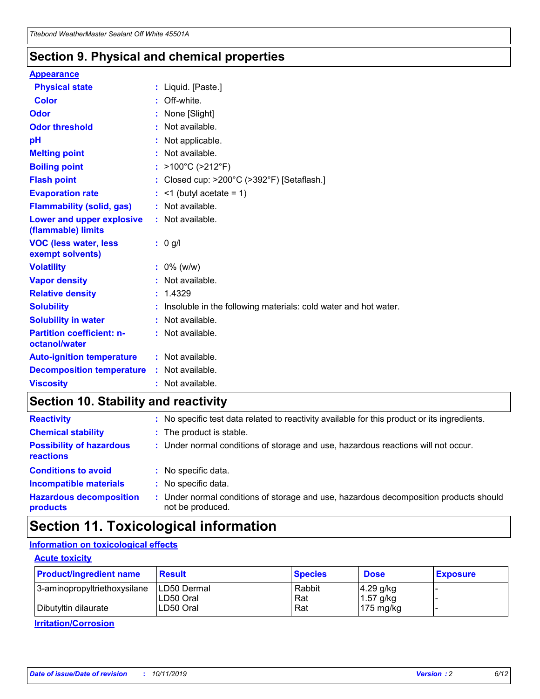### **Section 9. Physical and chemical properties**

#### **Appearance**

| <b>Physical state</b>                             | : Liquid. [Paste.]                                                |
|---------------------------------------------------|-------------------------------------------------------------------|
| Color                                             | Off-white.                                                        |
| Odor                                              | : None [Slight]                                                   |
| <b>Odor threshold</b>                             | $:$ Not available.                                                |
| pH                                                | : Not applicable.                                                 |
| <b>Melting point</b>                              | : Not available.                                                  |
| <b>Boiling point</b>                              | : >100°C (>212°F)                                                 |
| <b>Flash point</b>                                | : Closed cup: >200°C (>392°F) [Setaflash.]                        |
| <b>Evaporation rate</b>                           | $:$ <1 (butyl acetate = 1)                                        |
| <b>Flammability (solid, gas)</b>                  | : Not available.                                                  |
| Lower and upper explosive<br>(flammable) limits   | : Not available.                                                  |
| <b>VOC (less water, less</b><br>exempt solvents)  | $: 0$ g/l                                                         |
| <b>Volatility</b>                                 | $: 0\%$ (w/w)                                                     |
| <b>Vapor density</b>                              | : Not available.                                                  |
| <b>Relative density</b>                           | : 1.4329                                                          |
| <b>Solubility</b>                                 | : Insoluble in the following materials: cold water and hot water. |
| <b>Solubility in water</b>                        | : Not available.                                                  |
| <b>Partition coefficient: n-</b><br>octanol/water | : Not available.                                                  |
| <b>Auto-ignition temperature</b>                  | : Not available.                                                  |
| <b>Decomposition temperature</b>                  | : Not available.                                                  |
| <b>Viscosity</b>                                  | : Not available.                                                  |

### **Section 10. Stability and reactivity**

| <b>Reactivity</b>                            |    | : No specific test data related to reactivity available for this product or its ingredients.            |
|----------------------------------------------|----|---------------------------------------------------------------------------------------------------------|
| <b>Chemical stability</b>                    |    | : The product is stable.                                                                                |
| <b>Possibility of hazardous</b><br>reactions |    | : Under normal conditions of storage and use, hazardous reactions will not occur.                       |
| <b>Conditions to avoid</b>                   |    | : No specific data.                                                                                     |
| <b>Incompatible materials</b>                | ٠. | No specific data.                                                                                       |
| <b>Hazardous decomposition</b><br>products   | ÷. | Under normal conditions of storage and use, hazardous decomposition products should<br>not be produced. |

## **Section 11. Toxicological information**

### **Information on toxicological effects**

#### **Acute toxicity**

| <b>Product/ingredient name</b> | <b>Result</b>           | <b>Species</b> | <b>Dose</b>                | <b>Exposure</b> |
|--------------------------------|-------------------------|----------------|----------------------------|-----------------|
| 3-aminopropyltriethoxysilane   | <b>ILD50 Dermal</b>     | Rabbit         | 4.29 g/kg                  |                 |
| Dibutyltin dilaurate           | ILD50 Oral<br>LD50 Oral | Rat<br>Rat     | $1.57$ g/kg<br>175 $mg/kg$ |                 |
|                                |                         |                |                            |                 |

**Irritation/Corrosion**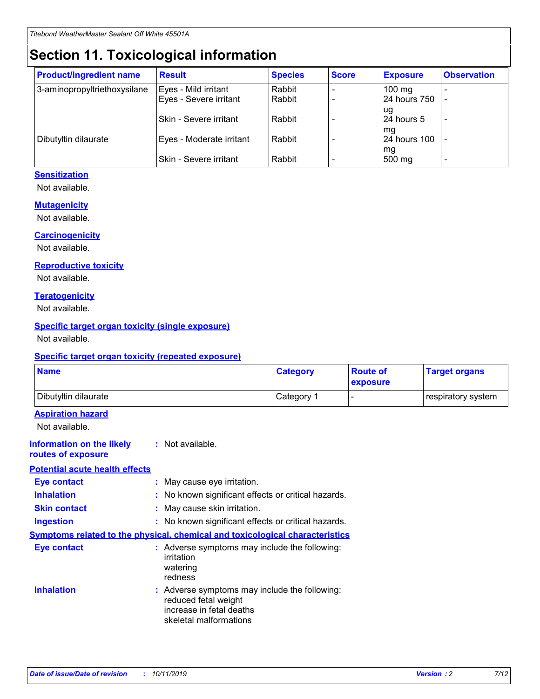# **Section 11. Toxicological information**

| <b>Product/ingredient name</b> | <b>Result</b>                 | <b>Species</b> | <b>Score</b> | <b>Exposure</b>    | <b>Observation</b> |
|--------------------------------|-------------------------------|----------------|--------------|--------------------|--------------------|
| 3-aminopropyltriethoxysilane   | Eyes - Mild irritant          | Rabbit         |              | $100$ mg           |                    |
|                                | Eyes - Severe irritant        | Rabbit         |              | 24 hours 750       |                    |
|                                |                               |                |              | ug                 |                    |
|                                | <b>Skin - Severe irritant</b> | Rabbit         |              | 24 hours 5         | ۰                  |
| Dibutyltin dilaurate           | Eyes - Moderate irritant      | Rabbit         |              | mq<br>24 hours 100 |                    |
|                                |                               |                |              | mg                 |                    |
|                                | Skin - Severe irritant        | Rabbit         |              | 500 mg             |                    |

### **Sensitization**

Not available.

#### **Mutagenicity**

Not available.

#### **Carcinogenicity**

Not available.

#### **Reproductive toxicity**

Not available.

#### **Teratogenicity**

Not available.

#### **Specific target organ toxicity (single exposure)**

Not available.

#### **Specific target organ toxicity (repeated exposure)**

| <b>Name</b>                                                                         |                                                                            | <b>Category</b>                                     | <b>Route of</b><br>exposure | <b>Target organs</b> |
|-------------------------------------------------------------------------------------|----------------------------------------------------------------------------|-----------------------------------------------------|-----------------------------|----------------------|
| Dibutyltin dilaurate                                                                |                                                                            | Category 1                                          | $\overline{\phantom{0}}$    | respiratory system   |
| <b>Aspiration hazard</b><br>Not available.                                          |                                                                            |                                                     |                             |                      |
| <b>Information on the likely</b><br>routes of exposure                              | : Not available.                                                           |                                                     |                             |                      |
| <b>Potential acute health effects</b>                                               |                                                                            |                                                     |                             |                      |
| <b>Eye contact</b>                                                                  | : May cause eye irritation.                                                |                                                     |                             |                      |
| <b>Inhalation</b>                                                                   |                                                                            | : No known significant effects or critical hazards. |                             |                      |
| <b>Skin contact</b>                                                                 | : May cause skin irritation.                                               |                                                     |                             |                      |
| <b>Ingestion</b>                                                                    |                                                                            | : No known significant effects or critical hazards. |                             |                      |
| <b>Symptoms related to the physical, chemical and toxicological characteristics</b> |                                                                            |                                                     |                             |                      |
| <b>Eye contact</b>                                                                  | irritation<br>watering<br>redness                                          | : Adverse symptoms may include the following:       |                             |                      |
| <b>Inhalation</b>                                                                   | reduced fetal weight<br>increase in fetal deaths<br>skeletal malformations | : Adverse symptoms may include the following:       |                             |                      |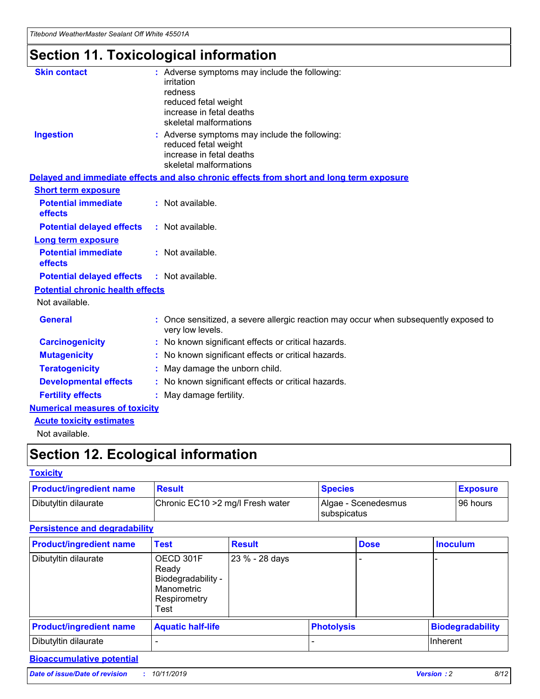# **Section 11. Toxicological information**

| <b>Skin contact</b>                     | : Adverse symptoms may include the following:                                                            |
|-----------------------------------------|----------------------------------------------------------------------------------------------------------|
|                                         | irritation                                                                                               |
|                                         | redness                                                                                                  |
|                                         | reduced fetal weight                                                                                     |
|                                         | increase in fetal deaths                                                                                 |
|                                         | skeletal malformations                                                                                   |
| <b>Ingestion</b>                        | : Adverse symptoms may include the following:                                                            |
|                                         | reduced fetal weight                                                                                     |
|                                         | increase in fetal deaths                                                                                 |
|                                         | skeletal malformations                                                                                   |
|                                         | Delayed and immediate effects and also chronic effects from short and long term exposure                 |
| <b>Short term exposure</b>              |                                                                                                          |
| <b>Potential immediate</b>              | : Not available.                                                                                         |
| effects                                 |                                                                                                          |
| <b>Potential delayed effects</b>        | : Not available.                                                                                         |
| Long term exposure                      |                                                                                                          |
| <b>Potential immediate</b>              | : Not available.                                                                                         |
| effects                                 |                                                                                                          |
| <b>Potential delayed effects</b>        | : Not available.                                                                                         |
| <b>Potential chronic health effects</b> |                                                                                                          |
| Not available.                          |                                                                                                          |
| <b>General</b>                          | : Once sensitized, a severe allergic reaction may occur when subsequently exposed to<br>very low levels. |
| <b>Carcinogenicity</b>                  | : No known significant effects or critical hazards.                                                      |
| <b>Mutagenicity</b>                     | : No known significant effects or critical hazards.                                                      |
| <b>Teratogenicity</b>                   | May damage the unborn child.                                                                             |
| <b>Developmental effects</b>            | : No known significant effects or critical hazards.                                                      |
| <b>Fertility effects</b>                | May damage fertility.                                                                                    |
| <b>Numerical measures of toxicity</b>   |                                                                                                          |
| <b>Acute toxicity estimates</b>         |                                                                                                          |
| الملحلة والمستحيط والمسالم              |                                                                                                          |

Not available.

# **Section 12. Ecological information**

#### **Toxicity**

| <b>Product/ingredient name</b> | <b>Result</b>                     | <b>Species</b>                       | <b>Exposure</b> |
|--------------------------------|-----------------------------------|--------------------------------------|-----------------|
| Dibutyltin dilaurate           | Chronic EC10 > 2 mg/l Fresh water | Algae - Scenedesmus<br>I subspicatus | l 96 hours      |

### **Persistence and degradability**

| <b>Product/ingredient name</b> | <b>Test</b>                                                                    | <b>Result</b>  |                   | <b>Dose</b> | <b>Inoculum</b>         |
|--------------------------------|--------------------------------------------------------------------------------|----------------|-------------------|-------------|-------------------------|
| Dibutyltin dilaurate           | OECD 301F<br>Ready<br>Biodegradability -<br>Manometric<br>Respirometry<br>Test | 23 % - 28 days |                   |             |                         |
| <b>Product/ingredient name</b> | <b>Aquatic half-life</b>                                                       |                | <b>Photolysis</b> |             | <b>Biodegradability</b> |
| Dibutyltin dilaurate           |                                                                                |                |                   |             | Inherent                |

### **Bioaccumulative potential**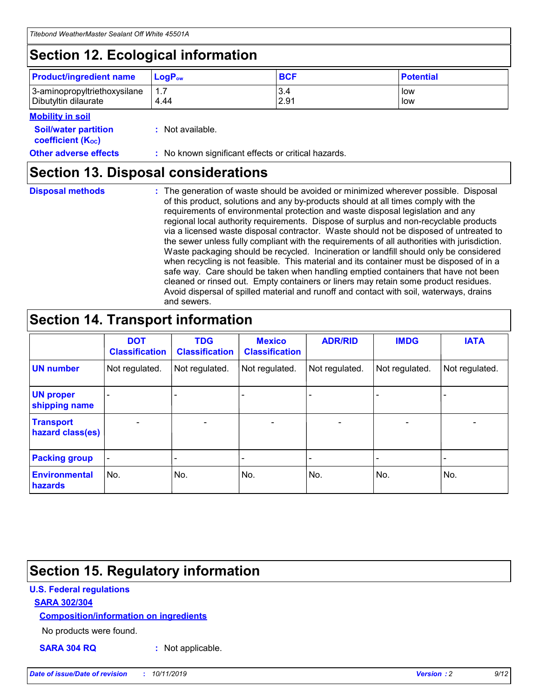# **Section 12. Ecological information**

| <b>Product/ingredient name</b> | $LoaPow$ | <b>BCF</b> | <b>Potential</b> |
|--------------------------------|----------|------------|------------------|
| 3-aminopropyltriethoxysilane   | 1.7      | 3.4        | low              |
| Dibutyltin dilaurate           | 4.44     | 2.91       | low              |

#### **Mobility in soil**

| <b>Soil/water partition</b><br>coefficient (K <sub>oc</sub> ) | : Not available.                                    |
|---------------------------------------------------------------|-----------------------------------------------------|
| <b>Other adverse effects</b>                                  | : No known significant effects or critical hazards. |

### **Section 13. Disposal considerations**

|  | <b>Disposal methods</b> |  |
|--|-------------------------|--|

**Disposal methods** : The generation of waste should be avoided or minimized wherever possible. Disposal of this product, solutions and any by-products should at all times comply with the requirements of environmental protection and waste disposal legislation and any regional local authority requirements. Dispose of surplus and non-recyclable products via a licensed waste disposal contractor. Waste should not be disposed of untreated to the sewer unless fully compliant with the requirements of all authorities with jurisdiction. Waste packaging should be recycled. Incineration or landfill should only be considered when recycling is not feasible. This material and its container must be disposed of in a safe way. Care should be taken when handling emptied containers that have not been cleaned or rinsed out. Empty containers or liners may retain some product residues. Avoid dispersal of spilled material and runoff and contact with soil, waterways, drains and sewers.

# **Section 14. Transport information**

|                                      | <b>DOT</b><br><b>Classification</b> | <b>TDG</b><br><b>Classification</b> | <b>Mexico</b><br><b>Classification</b> | <b>ADR/RID</b>               | <b>IMDG</b>    | <b>IATA</b>              |
|--------------------------------------|-------------------------------------|-------------------------------------|----------------------------------------|------------------------------|----------------|--------------------------|
| <b>UN number</b>                     | Not regulated.                      | Not regulated.                      | Not regulated.                         | Not regulated.               | Not regulated. | Not regulated.           |
| <b>UN proper</b><br>shipping name    |                                     |                                     |                                        |                              |                |                          |
| <b>Transport</b><br>hazard class(es) | $\blacksquare$                      | $\overline{\phantom{0}}$            | $\overline{\phantom{a}}$               | $\qquad \qquad \blacksquare$ | $\blacksquare$ | $\overline{\phantom{0}}$ |
| <b>Packing group</b>                 | $\overline{\phantom{a}}$            | -                                   |                                        | -                            |                | -                        |
| <b>Environmental</b><br>hazards      | No.                                 | No.                                 | No.                                    | No.                          | No.            | No.                      |

# **Section 15. Regulatory information**

### **U.S. Federal regulations**

#### **SARA 302/304**

#### **Composition/information on ingredients**

No products were found.

**SARA 304 RQ :** Not applicable.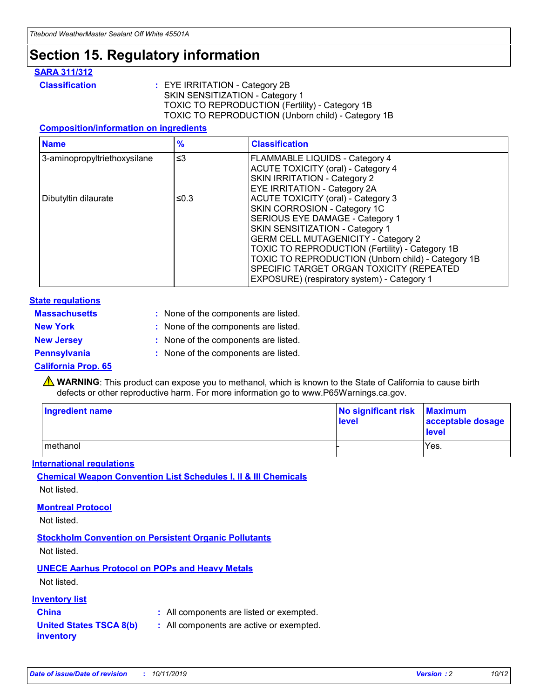## **Section 15. Regulatory information**

#### **SARA 311/312**

**Classification :** EYE IRRITATION - Category 2B SKIN SENSITIZATION - Category 1 TOXIC TO REPRODUCTION (Fertility) - Category 1B TOXIC TO REPRODUCTION (Unborn child) - Category 1B

#### **Composition/information on ingredients**

| <b>Name</b>                  | $\frac{9}{6}$ | <b>Classification</b>                                                                                                                                                                                                                                                                                                                  |
|------------------------------|---------------|----------------------------------------------------------------------------------------------------------------------------------------------------------------------------------------------------------------------------------------------------------------------------------------------------------------------------------------|
| 3-aminopropyltriethoxysilane | $\leq$ 3      | <b>FLAMMABLE LIQUIDS - Category 4</b><br><b>ACUTE TOXICITY (oral) - Category 4</b><br>SKIN IRRITATION - Category 2                                                                                                                                                                                                                     |
| Dibutyltin dilaurate         | ≤0.3          | EYE IRRITATION - Category 2A<br><b>ACUTE TOXICITY (oral) - Category 3</b><br>SKIN CORROSION - Category 1C<br>SERIOUS EYE DAMAGE - Category 1<br>SKIN SENSITIZATION - Category 1<br><b>GERM CELL MUTAGENICITY - Category 2</b><br>TOXIC TO REPRODUCTION (Fertility) - Category 1B<br>TOXIC TO REPRODUCTION (Unborn child) - Category 1B |
|                              |               | SPECIFIC TARGET ORGAN TOXICITY (REPEATED<br>EXPOSURE) (respiratory system) - Category 1                                                                                                                                                                                                                                                |

#### **State regulations**

| <b>Massachusetts</b> | : None of the components are listed. |
|----------------------|--------------------------------------|
| <b>New York</b>      | : None of the components are listed. |
| <b>New Jersey</b>    | : None of the components are listed. |
| Pennsylvania         | : None of the components are listed. |

#### **California Prop. 65**

**A** WARNING: This product can expose you to methanol, which is known to the State of California to cause birth defects or other reproductive harm. For more information go to www.P65Warnings.ca.gov.

| <b>Ingredient name</b> | No significant risk Maximum<br>level | acceptable dosage<br>level |
|------------------------|--------------------------------------|----------------------------|
| methanol               |                                      | Yes.                       |

#### **International regulations**

**Chemical Weapon Convention List Schedules I, II & III Chemicals** Not listed.

#### **Montreal Protocol**

Not listed.

**Stockholm Convention on Persistent Organic Pollutants**

Not listed.

### **UNECE Aarhus Protocol on POPs and Heavy Metals**

Not listed.

#### **Inventory list**

### **China :** All components are listed or exempted.

**United States TSCA 8(b) inventory :** All components are active or exempted.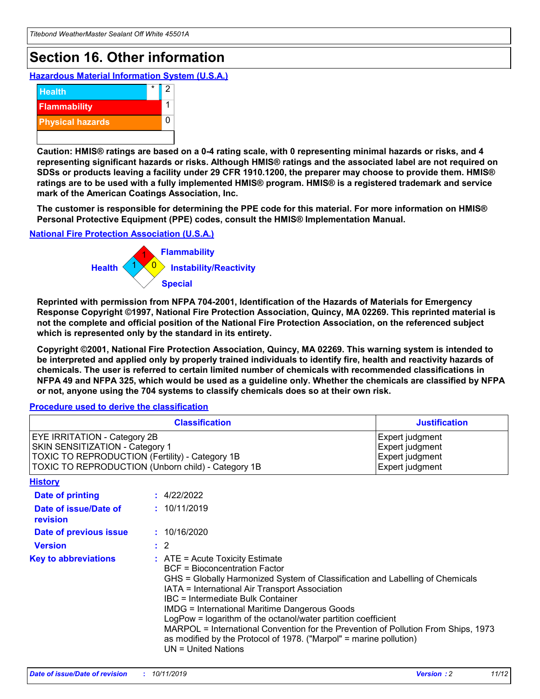# **Section 16. Other information**

**Hazardous Material Information System (U.S.A.)**



**Caution: HMIS® ratings are based on a 0-4 rating scale, with 0 representing minimal hazards or risks, and 4 representing significant hazards or risks. Although HMIS® ratings and the associated label are not required on SDSs or products leaving a facility under 29 CFR 1910.1200, the preparer may choose to provide them. HMIS® ratings are to be used with a fully implemented HMIS® program. HMIS® is a registered trademark and service mark of the American Coatings Association, Inc.**

**The customer is responsible for determining the PPE code for this material. For more information on HMIS® Personal Protective Equipment (PPE) codes, consult the HMIS® Implementation Manual.**

#### **National Fire Protection Association (U.S.A.)**



**Reprinted with permission from NFPA 704-2001, Identification of the Hazards of Materials for Emergency Response Copyright ©1997, National Fire Protection Association, Quincy, MA 02269. This reprinted material is not the complete and official position of the National Fire Protection Association, on the referenced subject which is represented only by the standard in its entirety.**

**Copyright ©2001, National Fire Protection Association, Quincy, MA 02269. This warning system is intended to be interpreted and applied only by properly trained individuals to identify fire, health and reactivity hazards of chemicals. The user is referred to certain limited number of chemicals with recommended classifications in NFPA 49 and NFPA 325, which would be used as a guideline only. Whether the chemicals are classified by NFPA or not, anyone using the 704 systems to classify chemicals does so at their own risk.**

#### **Procedure used to derive the classification**

|                                                                                                                                  | <b>Classification</b>                                                                                                                                                                                                                                                                                                                                                                                                                                                                                                                                                           | <b>Justification</b>                                                     |
|----------------------------------------------------------------------------------------------------------------------------------|---------------------------------------------------------------------------------------------------------------------------------------------------------------------------------------------------------------------------------------------------------------------------------------------------------------------------------------------------------------------------------------------------------------------------------------------------------------------------------------------------------------------------------------------------------------------------------|--------------------------------------------------------------------------|
| <b>EYE IRRITATION - Category 2B</b><br>SKIN SENSITIZATION - Category 1<br><b>TOXIC TO REPRODUCTION (Fertility) - Category 1B</b> | TOXIC TO REPRODUCTION (Unborn child) - Category 1B                                                                                                                                                                                                                                                                                                                                                                                                                                                                                                                              | Expert judgment<br>Expert judgment<br>Expert judgment<br>Expert judgment |
| <b>History</b>                                                                                                                   |                                                                                                                                                                                                                                                                                                                                                                                                                                                                                                                                                                                 |                                                                          |
| Date of printing                                                                                                                 | : 4/22/2022                                                                                                                                                                                                                                                                                                                                                                                                                                                                                                                                                                     |                                                                          |
| Date of issue/Date of<br>revision                                                                                                | : 10/11/2019                                                                                                                                                                                                                                                                                                                                                                                                                                                                                                                                                                    |                                                                          |
| Date of previous issue                                                                                                           | : 10/16/2020                                                                                                                                                                                                                                                                                                                                                                                                                                                                                                                                                                    |                                                                          |
| <b>Version</b>                                                                                                                   | $\therefore$ 2                                                                                                                                                                                                                                                                                                                                                                                                                                                                                                                                                                  |                                                                          |
| <b>Key to abbreviations</b>                                                                                                      | $\therefore$ ATE = Acute Toxicity Estimate<br><b>BCF</b> = Bioconcentration Factor<br>GHS = Globally Harmonized System of Classification and Labelling of Chemicals<br>IATA = International Air Transport Association<br><b>IBC</b> = Intermediate Bulk Container<br><b>IMDG = International Maritime Dangerous Goods</b><br>LogPow = logarithm of the octanol/water partition coefficient<br>MARPOL = International Convention for the Prevention of Pollution From Ships, 1973<br>as modified by the Protocol of 1978. ("Marpol" = marine pollution)<br>$UN = United Nations$ |                                                                          |